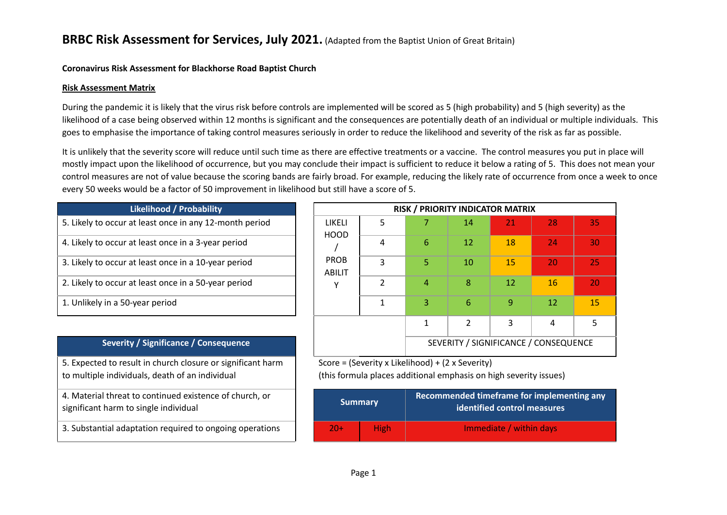### **Coronavirus Risk Assessment for Blackhorse Road Baptist Church**

#### **Risk Assessment Matrix**

During the pandemic it is likely that the virus risk before controls are implemented will be scored as 5 (high probability) and 5 (high severity) as the likelihood of a case being observed within 12 months is significant and the consequences are potentially death of an individual or multiple individuals. This goes to emphasise the importance of taking control measures seriously in order to reduce the likelihood and severity of the risk as far as possible.

It is unlikely that the severity score will reduce until such time as there are effective treatments or a vaccine. The control measures you put in place will mostly impact upon the likelihood of occurrence, but you may conclude their impact is sufficient to reduce it below a rating of 5. This does not mean your control measures are not of value because the scoring bands are fairly broad. For example, reducing the likely rate of occurrence from once a week to once every 50 weeks would be a factor of 50 improvement in likelihood but still have a score of 5.

| <b>Likelihood / Probability</b>                         |                       |
|---------------------------------------------------------|-----------------------|
| 5. Likely to occur at least once in any 12-month period | LIKFLI<br>HOOD        |
| 4. Likely to occur at least once in a 3-year period     |                       |
| 3. Likely to occur at least once in a 10-year period    | <b>PROB</b><br>ABILIT |
| 2. Likely to occur at least once in a 50-year period    |                       |
| 1. Unlikely in a 50-year period                         |                       |

### **Severity / Significance / Consequence**

5. Expected to result in church closure or significant harm to multiple individuals, death of an individual

4. Material threat to continued existence of church, or significant harm to single individual

3. Substantial adaptation required to ongoing operations

| <b>Likelihood / Probability</b>                         |                       |   |    | <b>RISK / PRIORITY INDICATOR MATRIX</b> |    |    |    |
|---------------------------------------------------------|-----------------------|---|----|-----------------------------------------|----|----|----|
| 5. Likely to occur at least once in any 12-month period | LIKELI<br><b>HOOD</b> | 5 |    | 14                                      | 21 | 28 | 35 |
| 4. Likely to occur at least once in a 3-year period     |                       | 4 | 6  | 12                                      | 18 | 24 | 30 |
| 3. Likely to occur at least once in a 10-year period    | <b>PROB</b><br>ABILIT | 3 | 5. | 10                                      | 15 | 20 | 25 |
| 2. Likely to occur at least once in a 50-year period    |                       | C | 4  | 8                                       | 12 | 16 | 20 |
| 1. Unlikely in a 50-year period                         |                       |   | 3  | 6                                       | 9  | 12 | 15 |
|                                                         |                       |   |    | $\overline{2}$                          | 3  | 4  |    |
| Severity / Significance / Consequence                   |                       |   |    | SEVERITY / SIGNIFICANCE / CONSEQUENCE   |    |    |    |

Score = (Severity x Likelihood) + (2 x Severity)

(this formula places additional emphasis on high severity issues)

| <b>Summary</b> |             | Recommended timeframe for implementing any<br>identified control measures |  |  |  |
|----------------|-------------|---------------------------------------------------------------------------|--|--|--|
| $20+$          | <b>High</b> | Immediate / within days                                                   |  |  |  |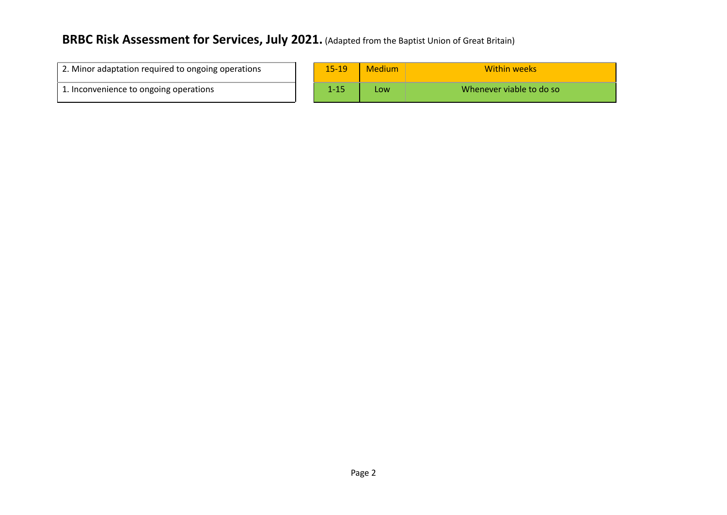| 2. Minor adaptation required to ongoing operations | $15 - 19$ | Medium | Within weeks             |
|----------------------------------------------------|-----------|--------|--------------------------|
| 1. Inconvenience to ongoing operations             |           | LOW    | Whenever viable to do so |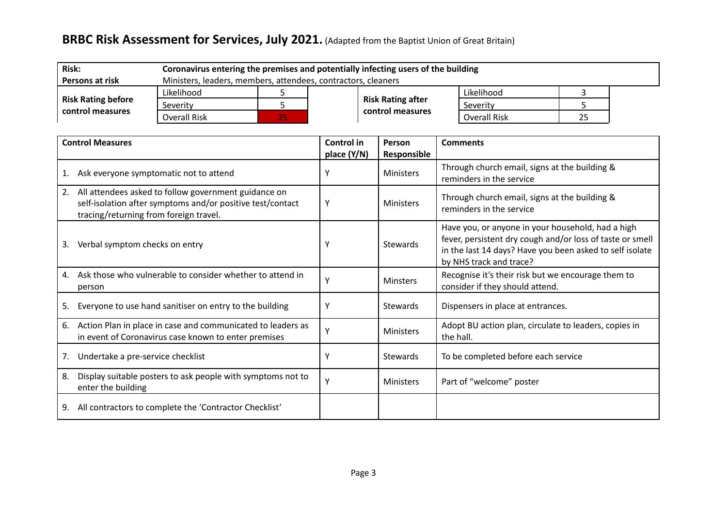| <b>Risk:</b>              |                                                               | Coronavirus entering the premises and potentially infecting users of the building |  |                          |                     |    |  |  |  |  |
|---------------------------|---------------------------------------------------------------|-----------------------------------------------------------------------------------|--|--------------------------|---------------------|----|--|--|--|--|
| Persons at risk           | Ministers, leaders, members, attendees, contractors, cleaners |                                                                                   |  |                          |                     |    |  |  |  |  |
|                           | Likelihood                                                    |                                                                                   |  |                          | Likelihood          |    |  |  |  |  |
| <b>Risk Rating before</b> | Severity                                                      |                                                                                   |  | <b>Risk Rating after</b> | Severity            |    |  |  |  |  |
| control measures          | Overall Risk                                                  | 85,                                                                               |  | control measures         | <b>Overall Risk</b> | 25 |  |  |  |  |

| <b>Control Measures</b>                                                                                                                                            | Control in<br>place (Y/N) | Person<br>Responsible | <b>Comments</b>                                                                                                                                                                                       |
|--------------------------------------------------------------------------------------------------------------------------------------------------------------------|---------------------------|-----------------------|-------------------------------------------------------------------------------------------------------------------------------------------------------------------------------------------------------|
| Ask everyone symptomatic not to attend                                                                                                                             | Υ                         | <b>Ministers</b>      | Through church email, signs at the building &<br>reminders in the service                                                                                                                             |
| All attendees asked to follow government guidance on<br>2.<br>self-isolation after symptoms and/or positive test/contact<br>tracing/returning from foreign travel. | Υ                         | <b>Ministers</b>      | Through church email, signs at the building &<br>reminders in the service                                                                                                                             |
| Verbal symptom checks on entry<br>3.                                                                                                                               | Υ                         | <b>Stewards</b>       | Have you, or anyone in your household, had a high<br>fever, persistent dry cough and/or loss of taste or smell<br>in the last 14 days? Have you been asked to self isolate<br>by NHS track and trace? |
| Ask those who vulnerable to consider whether to attend in<br>4.<br>person                                                                                          | $\mathbf v$               | <b>Minsters</b>       | Recognise it's their risk but we encourage them to<br>consider if they should attend.                                                                                                                 |
| Everyone to use hand sanitiser on entry to the building<br>5.                                                                                                      | Υ                         | <b>Stewards</b>       | Dispensers in place at entrances.                                                                                                                                                                     |
| Action Plan in place in case and communicated to leaders as<br>6.<br>in event of Coronavirus case known to enter premises                                          | Υ                         | <b>Ministers</b>      | Adopt BU action plan, circulate to leaders, copies in<br>the hall.                                                                                                                                    |
| Undertake a pre-service checklist<br>7.                                                                                                                            | ٧                         | <b>Stewards</b>       | To be completed before each service                                                                                                                                                                   |
| Display suitable posters to ask people with symptoms not to<br>8.<br>enter the building                                                                            | Y                         | <b>Ministers</b>      | Part of "welcome" poster                                                                                                                                                                              |
| All contractors to complete the 'Contractor Checklist'<br>9.                                                                                                       |                           |                       |                                                                                                                                                                                                       |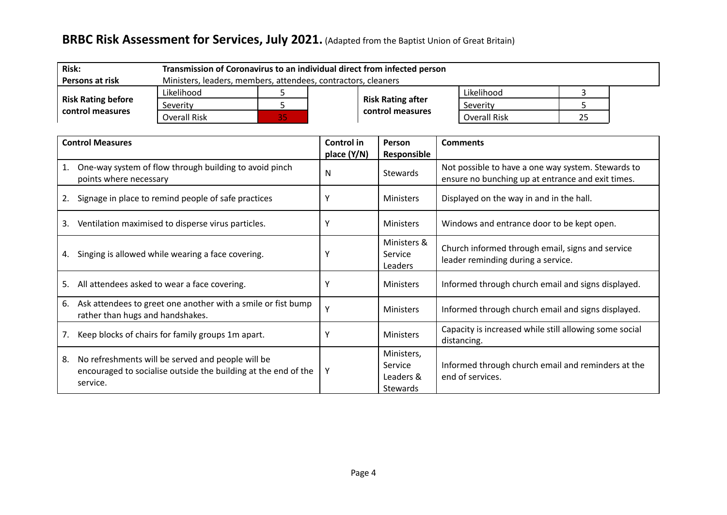| <b>Risk:</b>              | Transmission of Coronavirus to an individual direct from infected person |    |  |                          |                     |    |  |  |  |
|---------------------------|--------------------------------------------------------------------------|----|--|--------------------------|---------------------|----|--|--|--|
| Persons at risk           | Ministers, leaders, members, attendees, contractors, cleaners            |    |  |                          |                     |    |  |  |  |
|                           | Likelihood                                                               |    |  |                          | Likelihood          |    |  |  |  |
| <b>Risk Rating before</b> | Severity                                                                 |    |  | <b>Risk Rating after</b> | Severity            |    |  |  |  |
| control measures          | Overall Risk                                                             | 35 |  | control measures         | <b>Overall Risk</b> | 25 |  |  |  |

| <b>Control Measures</b>                                                                                                               | Control in  | Person                                                | <b>Comments</b>                                                                                         |
|---------------------------------------------------------------------------------------------------------------------------------------|-------------|-------------------------------------------------------|---------------------------------------------------------------------------------------------------------|
|                                                                                                                                       | place (Y/N) | Responsible                                           |                                                                                                         |
| One-way system of flow through building to avoid pinch<br>1.<br>points where necessary                                                | N           | <b>Stewards</b>                                       | Not possible to have a one way system. Stewards to<br>ensure no bunching up at entrance and exit times. |
| Signage in place to remind people of safe practices<br>2.                                                                             |             | <b>Ministers</b>                                      | Displayed on the way in and in the hall.                                                                |
| Ventilation maximised to disperse virus particles.<br>3.                                                                              |             | <b>Ministers</b>                                      | Windows and entrance door to be kept open.                                                              |
| Singing is allowed while wearing a face covering.<br>4.                                                                               |             | Ministers &<br>Service<br>Leaders                     | Church informed through email, signs and service<br>leader reminding during a service.                  |
| All attendees asked to wear a face covering.<br>5.                                                                                    |             | <b>Ministers</b>                                      | Informed through church email and signs displayed.                                                      |
| Ask attendees to greet one another with a smile or fist bump<br>6.<br>rather than hugs and handshakes.                                |             | <b>Ministers</b>                                      | Informed through church email and signs displayed.                                                      |
| Keep blocks of chairs for family groups 1m apart.                                                                                     |             | <b>Ministers</b>                                      | Capacity is increased while still allowing some social<br>distancing.                                   |
| No refreshments will be served and people will be<br>8.<br>encouraged to socialise outside the building at the end of the<br>service. | Y           | Ministers,<br>Service<br>Leaders &<br><b>Stewards</b> | Informed through church email and reminders at the<br>end of services.                                  |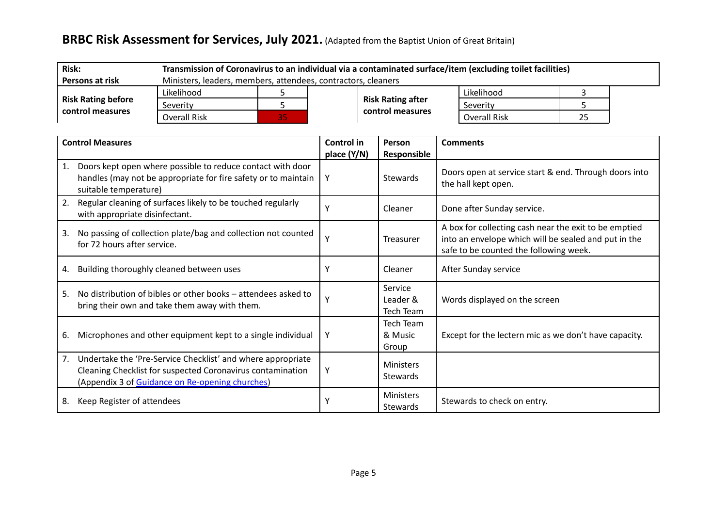| <b>Risk:</b>              | Transmission of Coronavirus to an individual via a contaminated surface/item (excluding toilet facilities) |    |  |                          |                     |    |  |  |  |
|---------------------------|------------------------------------------------------------------------------------------------------------|----|--|--------------------------|---------------------|----|--|--|--|
| <b>Persons at risk</b>    | Ministers, leaders, members, attendees, contractors, cleaners                                              |    |  |                          |                     |    |  |  |  |
|                           | Likelihood                                                                                                 |    |  |                          | Likelihood          |    |  |  |  |
| <b>Risk Rating before</b> | Severity                                                                                                   |    |  | <b>Risk Rating after</b> | Severity            |    |  |  |  |
| control measures          | Overall Risk                                                                                               | 35 |  | control measures         | <b>Overall Risk</b> | 25 |  |  |  |

|    | <b>Control Measures</b>                                                                                                                                                      | Control in<br>place (Y/N) | Person<br>Responsible                | <b>Comments</b>                                                                                                                                         |
|----|------------------------------------------------------------------------------------------------------------------------------------------------------------------------------|---------------------------|--------------------------------------|---------------------------------------------------------------------------------------------------------------------------------------------------------|
| 1. | Doors kept open where possible to reduce contact with door<br>handles (may not be appropriate for fire safety or to maintain<br>suitable temperature)                        | Y                         | <b>Stewards</b>                      | Doors open at service start & end. Through doors into<br>the hall kept open.                                                                            |
|    | Regular cleaning of surfaces likely to be touched regularly<br>with appropriate disinfectant.                                                                                | ٧                         | Cleaner                              | Done after Sunday service.                                                                                                                              |
| 3. | No passing of collection plate/bag and collection not counted<br>for 72 hours after service.                                                                                 | Υ                         | Treasurer                            | A box for collecting cash near the exit to be emptied<br>into an envelope which will be sealed and put in the<br>safe to be counted the following week. |
| 4. | Building thoroughly cleaned between uses                                                                                                                                     | Υ                         | Cleaner                              | After Sunday service                                                                                                                                    |
| 5. | No distribution of bibles or other books - attendees asked to<br>bring their own and take them away with them.                                                               | Υ                         | Service<br>Leader &<br>Tech Team     | Words displayed on the screen                                                                                                                           |
| 6. | Microphones and other equipment kept to a single individual                                                                                                                  | Υ                         | <b>Tech Team</b><br>& Music<br>Group | Except for the lectern mic as we don't have capacity.                                                                                                   |
| 7. | Undertake the 'Pre-Service Checklist' and where appropriate<br>Cleaning Checklist for suspected Coronavirus contamination<br>(Appendix 3 of Guidance on Re-opening churches) | Υ                         | <b>Ministers</b><br><b>Stewards</b>  |                                                                                                                                                         |
| 8. | Keep Register of attendees                                                                                                                                                   |                           | <b>Ministers</b><br><b>Stewards</b>  | Stewards to check on entry.                                                                                                                             |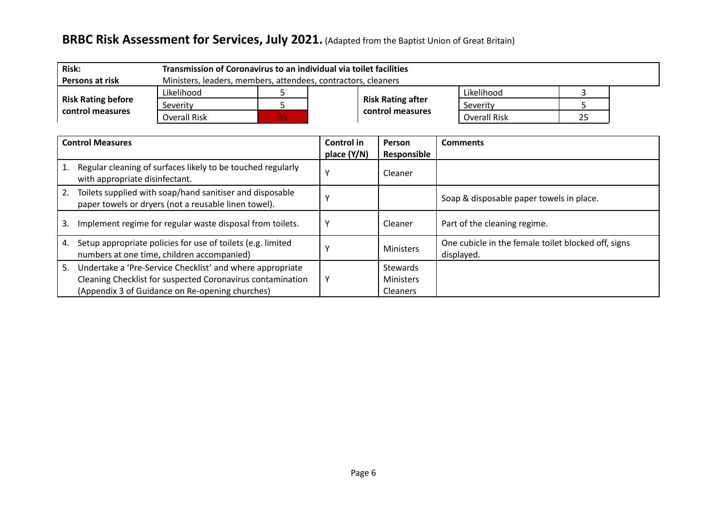| <b>Risk:</b>              | Transmission of Coronavirus to an individual via toilet facilities |    |  |                          |                     |    |  |  |  |
|---------------------------|--------------------------------------------------------------------|----|--|--------------------------|---------------------|----|--|--|--|
| Persons at risk           | Ministers, leaders, members, attendees, contractors, cleaners      |    |  |                          |                     |    |  |  |  |
|                           | Likelihood                                                         |    |  |                          | Likelihood          |    |  |  |  |
| <b>Risk Rating before</b> | Severity                                                           |    |  | <b>Risk Rating after</b> | Severity            |    |  |  |  |
| control measures          | Overall Risk                                                       | 35 |  | control measures         | <b>Overall Risk</b> | 25 |  |  |  |

| <b>Control Measures</b> |                                                                                                                  | Control in<br>place (Y/N) | Person<br>Responsible | <b>Comments</b>                                                   |
|-------------------------|------------------------------------------------------------------------------------------------------------------|---------------------------|-----------------------|-------------------------------------------------------------------|
|                         | Regular cleaning of surfaces likely to be touched regularly<br>with appropriate disinfectant.                    |                           | Cleaner               |                                                                   |
|                         | Toilets supplied with soap/hand sanitiser and disposable<br>paper towels or dryers (not a reusable linen towel). |                           |                       | Soap & disposable paper towels in place.                          |
| 3.                      | Implement regime for regular waste disposal from toilets.                                                        |                           | Cleaner               | Part of the cleaning regime.                                      |
| 4.                      | Setup appropriate policies for use of toilets (e.g. limited<br>numbers at one time, children accompanied)        |                           | <b>Ministers</b>      | One cubicle in the female toilet blocked off, signs<br>displayed. |
| 5.                      | Undertake a 'Pre-Service Checklist' and where appropriate                                                        |                           | <b>Stewards</b>       |                                                                   |
|                         | Cleaning Checklist for suspected Coronavirus contamination                                                       | ν                         | <b>Ministers</b>      |                                                                   |
|                         | (Appendix 3 of Guidance on Re-opening churches)                                                                  |                           | <b>Cleaners</b>       |                                                                   |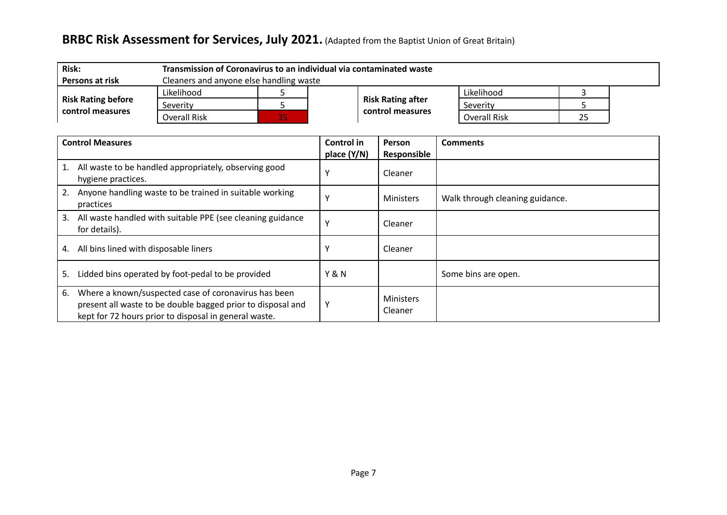| <b>Risk:</b>                                  | Transmission of Coronavirus to an individual via contaminated waste |     |  |                          |                     |    |  |
|-----------------------------------------------|---------------------------------------------------------------------|-----|--|--------------------------|---------------------|----|--|
| <b>Persons at risk</b>                        | Cleaners and anyone else handling waste                             |     |  |                          |                     |    |  |
|                                               | Likelihood                                                          |     |  |                          | Likelihood          |    |  |
| <b>Risk Rating before</b><br>control measures | Severity                                                            |     |  | <b>Risk Rating after</b> | Severity            |    |  |
|                                               | Overall Risk                                                        | 85) |  | control measures         | <b>Overall Risk</b> | 25 |  |

| <b>Control Measures</b>                                                                                                                                                            | Control in       | Person                      | <b>Comments</b>                 |
|------------------------------------------------------------------------------------------------------------------------------------------------------------------------------------|------------------|-----------------------------|---------------------------------|
|                                                                                                                                                                                    | place (Y/N)      | Responsible                 |                                 |
| All waste to be handled appropriately, observing good<br>hygiene practices.                                                                                                        |                  | Cleaner                     |                                 |
| Anyone handling waste to be trained in suitable working<br>2.<br>practices                                                                                                         |                  | Ministers                   | Walk through cleaning guidance. |
| All waste handled with suitable PPE (see cleaning guidance<br>3.<br>for details).                                                                                                  |                  | Cleaner                     |                                 |
| All bins lined with disposable liners<br>4.                                                                                                                                        |                  | Cleaner                     |                                 |
| Lidded bins operated by foot-pedal to be provided<br>5.                                                                                                                            | <b>Y &amp; N</b> |                             | Some bins are open.             |
| Where a known/suspected case of coronavirus has been<br>6.<br>present all waste to be double bagged prior to disposal and<br>kept for 72 hours prior to disposal in general waste. | Υ                | <b>Ministers</b><br>Cleaner |                                 |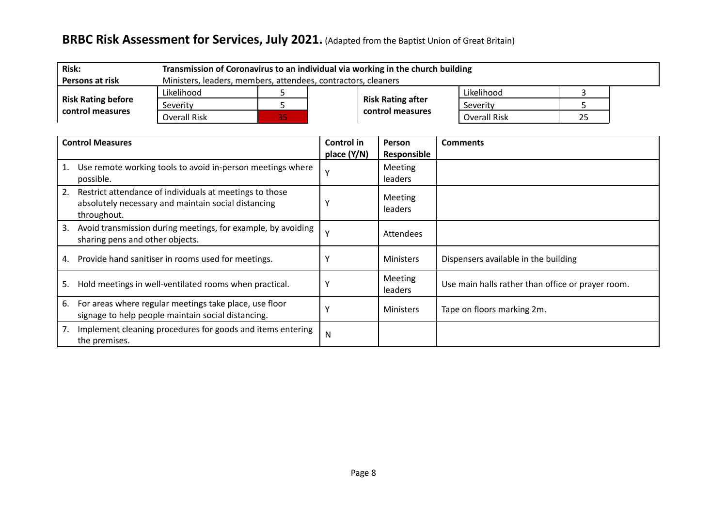| <b>Risk:</b>                                  | Transmission of Coronavirus to an individual via working in the church building |    |  |                          |                     |    |  |
|-----------------------------------------------|---------------------------------------------------------------------------------|----|--|--------------------------|---------------------|----|--|
| Persons at risk                               | Ministers, leaders, members, attendees, contractors, cleaners                   |    |  |                          |                     |    |  |
| <b>Risk Rating before</b><br>control measures | Likelihood                                                                      |    |  |                          | Likelihood          |    |  |
|                                               | Severity                                                                        |    |  | <b>Risk Rating after</b> | Severity            |    |  |
|                                               | Overall Risk                                                                    | 35 |  | control measures         | <b>Overall Risk</b> | 25 |  |

| <b>Control Measures</b>                                                                                                             | Control in<br>place (Y/N) | Person<br>Responsible     | <b>Comments</b>                                   |
|-------------------------------------------------------------------------------------------------------------------------------------|---------------------------|---------------------------|---------------------------------------------------|
| Use remote working tools to avoid in-person meetings where<br>possible.                                                             |                           | Meeting<br><b>leaders</b> |                                                   |
| Restrict attendance of individuals at meetings to those<br>2.<br>absolutely necessary and maintain social distancing<br>throughout. |                           | <b>Meeting</b><br>leaders |                                                   |
| Avoid transmission during meetings, for example, by avoiding<br>3.<br>sharing pens and other objects.                               |                           | Attendees                 |                                                   |
| Provide hand sanitiser in rooms used for meetings.<br>4.                                                                            |                           | <b>Ministers</b>          | Dispensers available in the building              |
| Hold meetings in well-ventilated rooms when practical.<br>5.                                                                        |                           | Meeting<br>leaders        | Use main halls rather than office or prayer room. |
| For areas where regular meetings take place, use floor<br>6.<br>signage to help people maintain social distancing.                  |                           | <b>Ministers</b>          | Tape on floors marking 2m.                        |
| Implement cleaning procedures for goods and items entering<br>7.<br>the premises.                                                   | N                         |                           |                                                   |